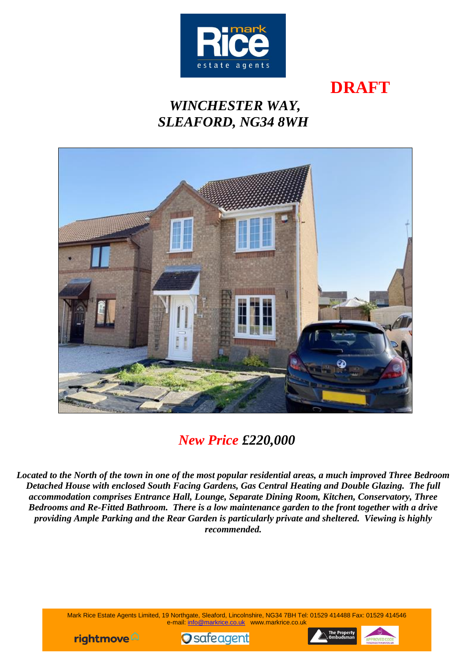

**DRAFT**

# *WINCHESTER WAY, SLEAFORD, NG34 8WH*



# *New Price £220,000*

*Located to the North of the town in one of the most popular residential areas, a much improved Three Bedroom Detached House with enclosed South Facing Gardens, Gas Central Heating and Double Glazing. The full accommodation comprises Entrance Hall, Lounge, Separate Dining Room, Kitchen, Conservatory, Three Bedrooms and Re-Fitted Bathroom. There is a low maintenance garden to the front together with a drive providing Ample Parking and the Rear Garden is particularly private and sheltered. Viewing is highly recommended.*

> Mark Rice Estate Agents Limited, 19 Northgate, Sleaford, Lincolnshire, NG34 7BH Tel: 01529 414488 Fax: 01529 414546 e-mail: [info@markrice.co.uk](mailto:info@markrice.co.uk) www.markrice.co.uk





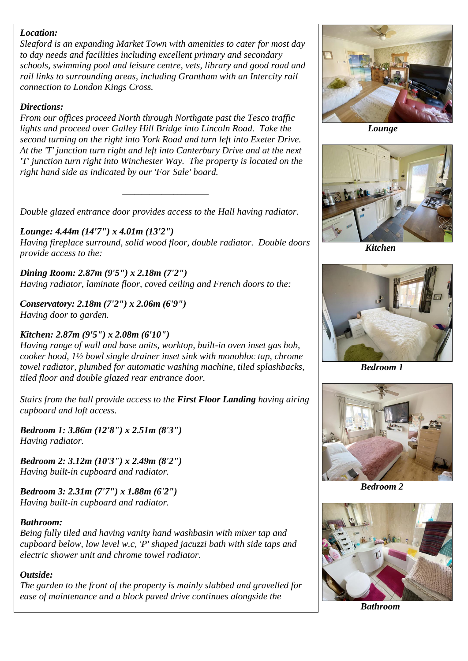#### *Location:*

*Sleaford is an expanding Market Town with amenities to cater for most day to day needs and facilities including excellent primary and secondary schools, swimming pool and leisure centre, vets, library and good road and rail links to surrounding areas, including Grantham with an Intercity rail connection to London Kings Cross.*

#### *Directions:*

*From our offices proceed North through Northgate past the Tesco traffic lights and proceed over Galley Hill Bridge into Lincoln Road. Take the second turning on the right into York Road and turn left into Exeter Drive. At the 'T' junction turn right and left into Canterbury Drive and at the next 'T' junction turn right into Winchester Way. The property is located on the right hand side as indicated by our 'For Sale' board.*

*Double glazed entrance door provides access to the Hall having radiator.*

*\_\_\_\_\_\_\_\_\_\_\_\_\_\_\_\_\_\_\_\_\_\_*

*Lounge: 4.44m (14'7") x 4.01m (13'2") Having fireplace surround, solid wood floor, double radiator. Double doors provide access to the:*

*Dining Room: 2.87m (9'5") x 2.18m (7'2") Having radiator, laminate floor, coved ceiling and French doors to the:*

*Conservatory: 2.18m (7'2") x 2.06m (6'9") Having door to garden.*

#### *Kitchen: 2.87m (9'5") x 2.08m (6'10")*

*Having range of wall and base units, worktop, built-in oven inset gas hob, cooker hood, 1½ bowl single drainer inset sink with monobloc tap, chrome towel radiator, plumbed for automatic washing machine, tiled splashbacks, tiled floor and double glazed rear entrance door.*

*Stairs from the hall provide access to the First Floor Landing having airing cupboard and loft access.*

*Bedroom 1: 3.86m (12'8") x 2.51m (8'3") Having radiator.*

*Bedroom 2: 3.12m (10'3") x 2.49m (8'2") Having built-in cupboard and radiator.*

*Bedroom 3: 2.31m (7'7") x 1.88m (6'2") Having built-in cupboard and radiator.*

### *Bathroom:*

*Being fully tiled and having vanity hand washbasin with mixer tap and cupboard below, low level w.c, 'P' shaped jacuzzi bath with side taps and electric shower unit and chrome towel radiator.*

### *Outside:*

*The garden to the front of the property is mainly slabbed and gravelled for ease of maintenance and a block paved drive continues alongside the* 



 *Lounge*



 *Kitchen*



 *Bedroom 1*



 *Bedroom 2*



*Bathroom*